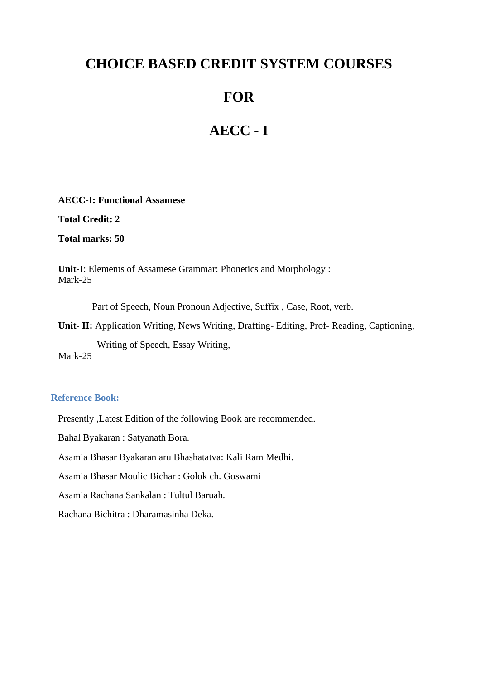# **CHOICE BASED CREDIT SYSTEM COURSES**

# **FOR**

# **AECC - I**

**AECC-I: Functional Assamese** 

**Total Credit: 2**

**Total marks: 50**

**Unit-I**: Elements of Assamese Grammar: Phonetics and Morphology : Mark-25

Part of Speech, Noun Pronoun Adjective, Suffix , Case, Root, verb.

**Unit- II:** Application Writing, News Writing, Drafting- Editing, Prof- Reading, Captioning,

Writing of Speech, Essay Writing,

Mark-25

#### **Reference Book:**

Presently ,Latest Edition of the following Book are recommended.

Bahal Byakaran : Satyanath Bora.

Asamia Bhasar Byakaran aru Bhashatatva: Kali Ram Medhi.

Asamia Bhasar Moulic Bichar : Golok ch. Goswami

Asamia Rachana Sankalan : Tultul Baruah.

Rachana Bichitra : Dharamasinha Deka.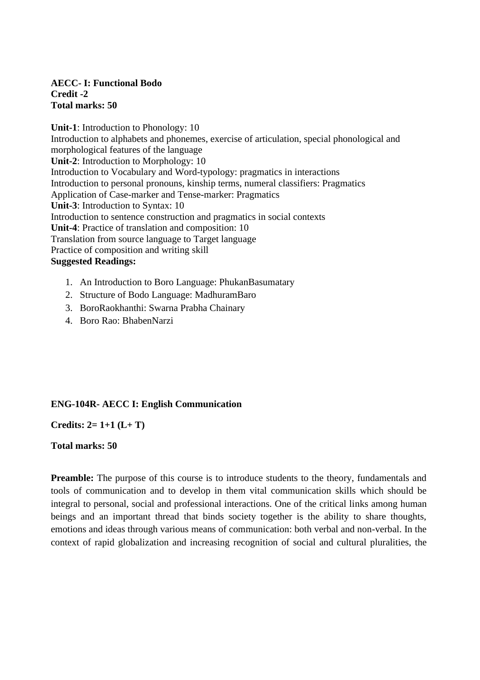#### **AECC- I: Functional Bodo Credit -2 Total marks: 50**

**Unit-1**: Introduction to Phonology: 10 Introduction to alphabets and phonemes, exercise of articulation, special phonological and morphological features of the language **Unit-2**: Introduction to Morphology: 10 Introduction to Vocabulary and Word-typology: pragmatics in interactions Introduction to personal pronouns, kinship terms, numeral classifiers: Pragmatics Application of Case-marker and Tense-marker: Pragmatics **Unit-3**: Introduction to Syntax: 10 Introduction to sentence construction and pragmatics in social contexts **Unit-4**: Practice of translation and composition: 10 Translation from source language to Target language Practice of composition and writing skill **Suggested Readings:**

- 1. An Introduction to Boro Language: PhukanBasumatary
- 2. Structure of Bodo Language: MadhuramBaro
- 3. BoroRaokhanthi: Swarna Prabha Chainary
- 4. Boro Rao: BhabenNarzi

## **ENG-104R- AECC I: English Communication**

**Credits: 2= 1+1 (L+ T)** 

#### **Total marks: 50**

**Preamble:** The purpose of this course is to introduce students to the theory, fundamentals and tools of communication and to develop in them vital communication skills which should be integral to personal, social and professional interactions. One of the critical links among human beings and an important thread that binds society together is the ability to share thoughts, emotions and ideas through various means of communication: both verbal and non-verbal. In the context of rapid globalization and increasing recognition of social and cultural pluralities, the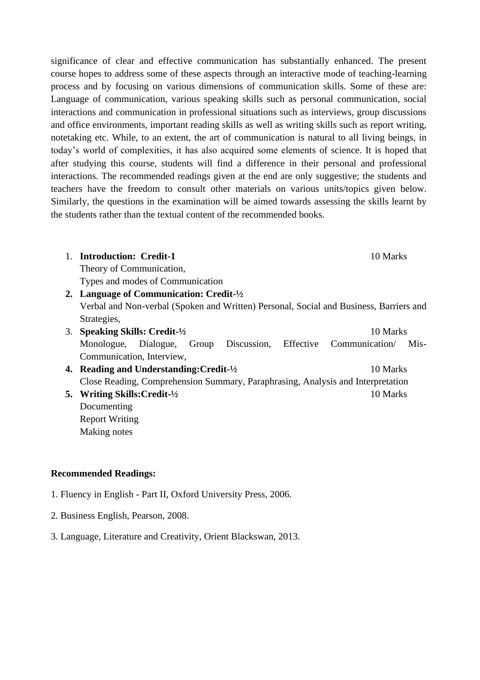significance of clear and effective communication has substantially enhanced. The present course hopes to address some of these aspects through an interactive mode of teaching-learning process and by focusing on various dimensions of communication skills. Some of these are: Language of communication, various speaking skills such as personal communication, social interactions and communication in professional situations such as interviews, group discussions and office environments, important reading skills as well as writing skills such as report writing, notetaking etc. While, to an extent, the art of communication is natural to all living beings, in today's world of complexities, it has also acquired some elements of science. It is hoped that after studying this course, students will find a difference in their personal and professional interactions. The recommended readings given at the end are only suggestive; the students and teachers have the freedom to consult other materials on various units/topics given below. Similarly, the questions in the examination will be aimed towards assessing the skills learnt by the students rather than the textual content of the recommended books.

- 1. **Introduction: Credit-1** 10 Marks Theory of Communication, Types and modes of Communication
- **2. Language of Communication: Credit-½** Verbal and Non-verbal (Spoken and Written) Personal, Social and Business, Barriers and Strategies,
- 3. **Speaking Skills: Credit-½** 10 Marks Monologue, Dialogue, Group Discussion, Effective Communication/ Mis-Communication, Interview,
- **4. Reading and Understanding: Credit-** $\frac{1}{2}$  10 Marks Close Reading, Comprehension Summary, Paraphrasing, Analysis and Interpretation
- **5. Writing Skills:Credit-½** 10 Marks Documenting Report Writing Making notes

#### **Recommended Readings:**

- 1. Fluency in English Part II, Oxford University Press, 2006.
- 2. Business English, Pearson, 2008.
- 3. Language, Literature and Creativity, Orient Blackswan, 2013.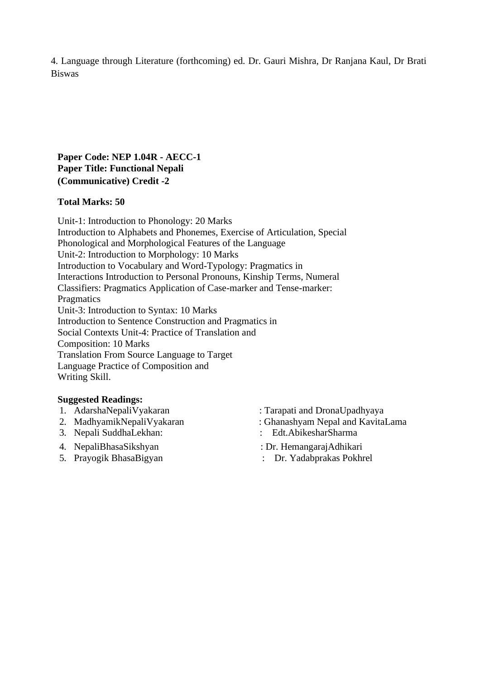4. Language through Literature (forthcoming) ed. Dr. Gauri Mishra, Dr Ranjana Kaul, Dr Brati Biswas

### **Paper Code: NEP 1.04R - AECC-1 Paper Title: Functional Nepali (Communicative) Credit -2**

#### **Total Marks: 50**

Unit-1: Introduction to Phonology: 20 Marks Introduction to Alphabets and Phonemes, Exercise of Articulation, Special Phonological and Morphological Features of the Language Unit-2: Introduction to Morphology: 10 Marks Introduction to Vocabulary and Word-Typology: Pragmatics in Interactions Introduction to Personal Pronouns, Kinship Terms, Numeral Classifiers: Pragmatics Application of Case-marker and Tense-marker: **Pragmatics** Unit-3: Introduction to Syntax: 10 Marks Introduction to Sentence Construction and Pragmatics in Social Contexts Unit-4: Practice of Translation and Composition: 10 Marks Translation From Source Language to Target Language Practice of Composition and Writing Skill.

#### **Suggested Readings:**

- 
- 
- 
- 4. NepaliBhasaSikshyan : Dr. HemangarajAdhikari
- 5. Prayogik BhasaBigyan : Dr. Yadabprakas Pokhrel
- 1. AdarshaNepaliVyakaran : Tarapati and DronaUpadhyaya
- 2. MadhyamikNepaliVyakaran : Ghanashyam Nepal and KavitaLama
- 3. Nepali SuddhaLekhan: : Edt.AbikesharSharma
	-
	-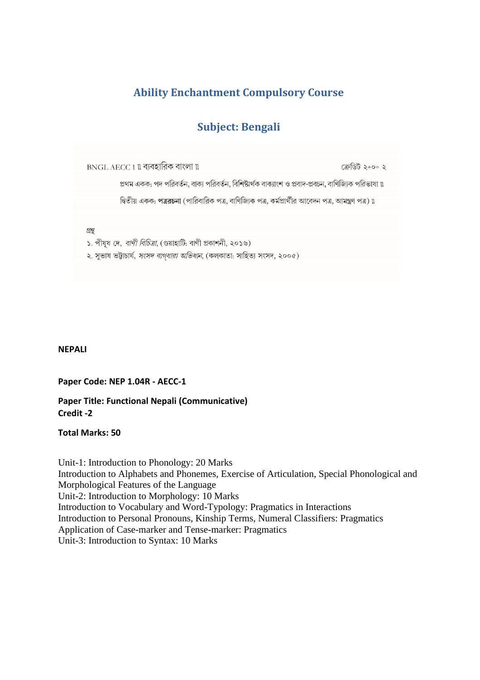## **Ability Enchantment Compulsory Course**

## **Subject: Bengali**

BNGL AECC 1 ll ব্যবহারিক বাংলা ll

প্রথম একক: পদ পরিবর্তন, বাক্য পরিবর্তন, বিশিষ্টার্থক বাক্যাংশ ও প্রবাদ-প্রবচন, বাণিজ্যিক পরিভাষা ॥

দ্বিতীয় একক: পত্ররচনা (পারিবারিক পত্র, বাণিজ্যিক পত্র, কর্মপ্রার্থীর আবেদন পত্র, আমন্ত্রণ পত্র) ৷৷

গ্ৰন্থ

১. পীযূষ দে, *বাণী বিচিত্ৰা*, (গুয়াহাটি: বাণী প্ৰকাশনী, ২০১৬)

২. সুভাষ ভট্টাচার্য, *সংসদ বাগ্ধারা অভিধান*, (কলকাতা: সাহিত্য সংসদ, ২০০৫)

#### **NEPALI**

**Paper Code: NEP 1.04R - AECC-1**

**Paper Title: Functional Nepali (Communicative) Credit -2**

**Total Marks: 50**

Unit-1: Introduction to Phonology: 20 Marks Introduction to Alphabets and Phonemes, Exercise of Articulation, Special Phonological and Morphological Features of the Language Unit-2: Introduction to Morphology: 10 Marks Introduction to Vocabulary and Word-Typology: Pragmatics in Interactions Introduction to Personal Pronouns, Kinship Terms, Numeral Classifiers: Pragmatics Application of Case-marker and Tense-marker: Pragmatics Unit-3: Introduction to Syntax: 10 Marks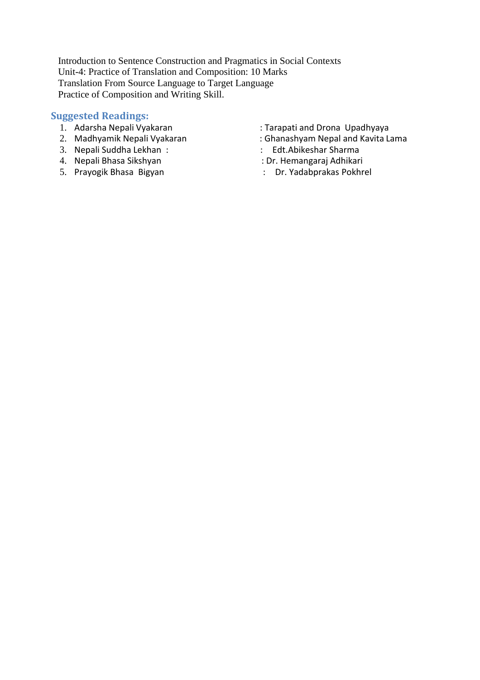Introduction to Sentence Construction and Pragmatics in Social Contexts Unit-4: Practice of Translation and Composition: 10 Marks Translation From Source Language to Target Language Practice of Composition and Writing Skill.

## **Suggested Readings:**

- 
- 
- 3. Nepali Suddha Lekhan : : Edt.Abikeshar Sharma
- 4. Nepali Bhasa Sikshyan<br>5. Prayogik Bhasa Bigyan
- 
- 1. Adarsha Nepali Vyakaran : Tarapati and Drona Upadhyaya
	- : Ghanashyam Nepal and Kavita Lama<br>: Edt.Abikeshar Sharma
	-
	-
	- : Dr. Yadabprakas Pokhrel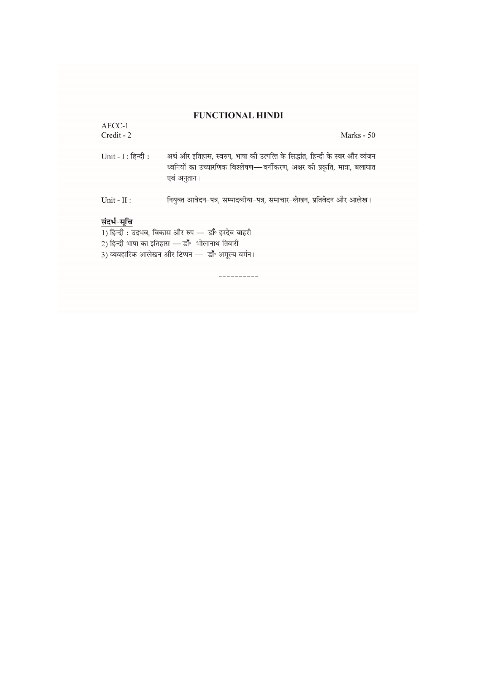## **FUNCTIONAL HINDI**

| <b>FUNCTIONAL HINDI</b>                                                                                                                                                 |                                                                                                                                                                            |  |  |
|-------------------------------------------------------------------------------------------------------------------------------------------------------------------------|----------------------------------------------------------------------------------------------------------------------------------------------------------------------------|--|--|
| $AECC-1$<br>Credit - 2                                                                                                                                                  | Marks - 50                                                                                                                                                                 |  |  |
| $Unit - I : \widehat{\mathsf{R}}$ न्दी :                                                                                                                                | अर्थ और इतिहास, स्वरुप, भाषा की उत्पत्ति के सिद्धांत, हिन्दी के स्वर और व्यंजन<br>ध्वनियों का उच्यारणिक विश्लेषण—वर्गीकरण, अक्षर की प्रकृति, मात्रा, बलाघात<br>एबं अनुतान। |  |  |
| Unit - $II$ :                                                                                                                                                           | नियुक्त आवेदन-पत्र, सम्पादकीया-पत्र, समाचार-लेखन, प्रतिवेदन और आलेख।                                                                                                       |  |  |
| संदर्भ-सूचि<br>1) हिन्दी : उदभव, विकास और रुप — डाँ॰ हरदेव बाहरी<br>2) हिन्दी भाषा का इतिहास — डाँ॰ भोलानाथ तिवारी<br>3) व्यवहारिक आलेखन और टिप्पन — डाँ॰ अमूल्य वर्मन। |                                                                                                                                                                            |  |  |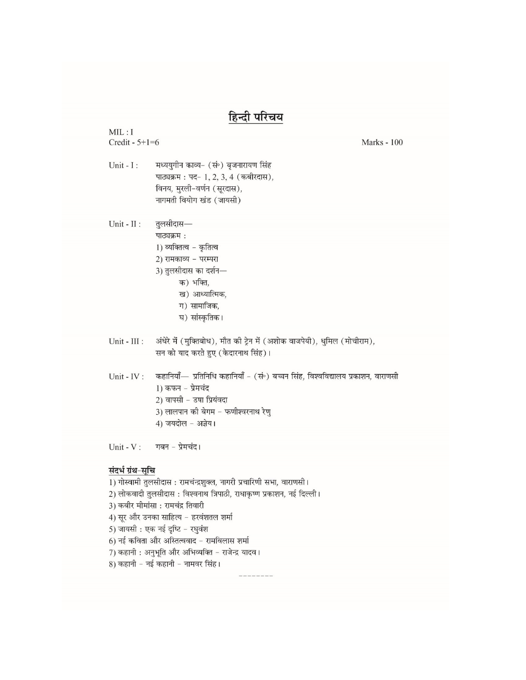| हिन्दी परिचय      |                                                                           |                                                                                 |  |  |
|-------------------|---------------------------------------------------------------------------|---------------------------------------------------------------------------------|--|--|
| MIL: I            |                                                                           |                                                                                 |  |  |
| Credit - $5+1=6$  |                                                                           | Marks - 100                                                                     |  |  |
|                   |                                                                           |                                                                                 |  |  |
| Unit - I:         | मध्ययुगीन काव्य- (सं॰) बृजनारायण सिंह                                     |                                                                                 |  |  |
|                   | पाठ्यक्रम: पद- 1, 2, 3, 4 (कबीरदास),                                      |                                                                                 |  |  |
|                   | विनय, मुरली-वर्णन (सूरदास),                                               |                                                                                 |  |  |
|                   | नागमती वियोग खंड (जायसी)                                                  |                                                                                 |  |  |
| Unit - $II$ :     | तुलसीदास—                                                                 |                                                                                 |  |  |
|                   | पाठ्यक्रम:                                                                |                                                                                 |  |  |
|                   | 1) व्यक्तित्व - कृतित्व                                                   |                                                                                 |  |  |
|                   | 2) रामकाव्य - परम्परा                                                     |                                                                                 |  |  |
|                   | 3) तुलसीदास का दर्शन—                                                     |                                                                                 |  |  |
|                   | क) भक्ति,                                                                 |                                                                                 |  |  |
|                   | ख) आध्यात्मिक,                                                            |                                                                                 |  |  |
|                   | ग) सामाजिक,                                                               |                                                                                 |  |  |
|                   | घ) सांस्कृतिक।                                                            |                                                                                 |  |  |
|                   |                                                                           |                                                                                 |  |  |
| Unit - III :      | अंधेरे में (मुक्तिबोध), मौत की ट्रेन में (अशोक वाजपेयी), धुमिल (मोचीराम), |                                                                                 |  |  |
|                   | सन को याद करते हुए (केदारनाथ सिंह)।                                       |                                                                                 |  |  |
| Unit - IV :       |                                                                           | कहानियाँ— प्रतिनिधि कहानियाँ - (सं॰) बच्चन सिंह, विश्वविद्यालय प्रकाशन, वाराणसी |  |  |
|                   | 1) कफन - प्रेमचंद                                                         |                                                                                 |  |  |
|                   | 2) वापसी - उषा प्रियंवदा                                                  |                                                                                 |  |  |
|                   | 3) लालपान की बेगम - फणीश्वरनाथ रेणु                                       |                                                                                 |  |  |
|                   | 4) जयदोल - अज्ञेय।                                                        |                                                                                 |  |  |
|                   |                                                                           |                                                                                 |  |  |
|                   | $Unit - V$ : गबन - प्रेमचंद।                                              |                                                                                 |  |  |
| संदर्भ ग्रंथ-सूचि |                                                                           |                                                                                 |  |  |
|                   | 1) गोस्वामी तुलसीदास : रामचंन्द्रशुक्ल, नागरी प्रचारिणी सभा, वाराणसी।     |                                                                                 |  |  |
|                   | 2) लोकवादी तुलसीदास : विश्वनाथ त्रिपाठी, राधाकृष्ण प्रकाशन, नई दिल्ली।    |                                                                                 |  |  |
|                   | 3) कबीर मीमांसा : रामचंद्र तिवारी                                         |                                                                                 |  |  |
|                   | 4) सूर और उनका साहित्य - हरवंशतल शर्मा                                    |                                                                                 |  |  |
|                   | 5) जायसी : एक नई दृष्टि - रघुवंश                                          |                                                                                 |  |  |
|                   | 6) नई कविता और अस्तित्ववाद - रामविलास शर्मा                               |                                                                                 |  |  |
|                   | 7) कहानी : अनुभूति और अभिव्यक्ति - राजेन्द्र यादव।                        |                                                                                 |  |  |
|                   | 8) कहानी - नई कहानी - नामवर सिंह।                                         |                                                                                 |  |  |
|                   |                                                                           |                                                                                 |  |  |
|                   |                                                                           |                                                                                 |  |  |
|                   |                                                                           |                                                                                 |  |  |
|                   |                                                                           |                                                                                 |  |  |